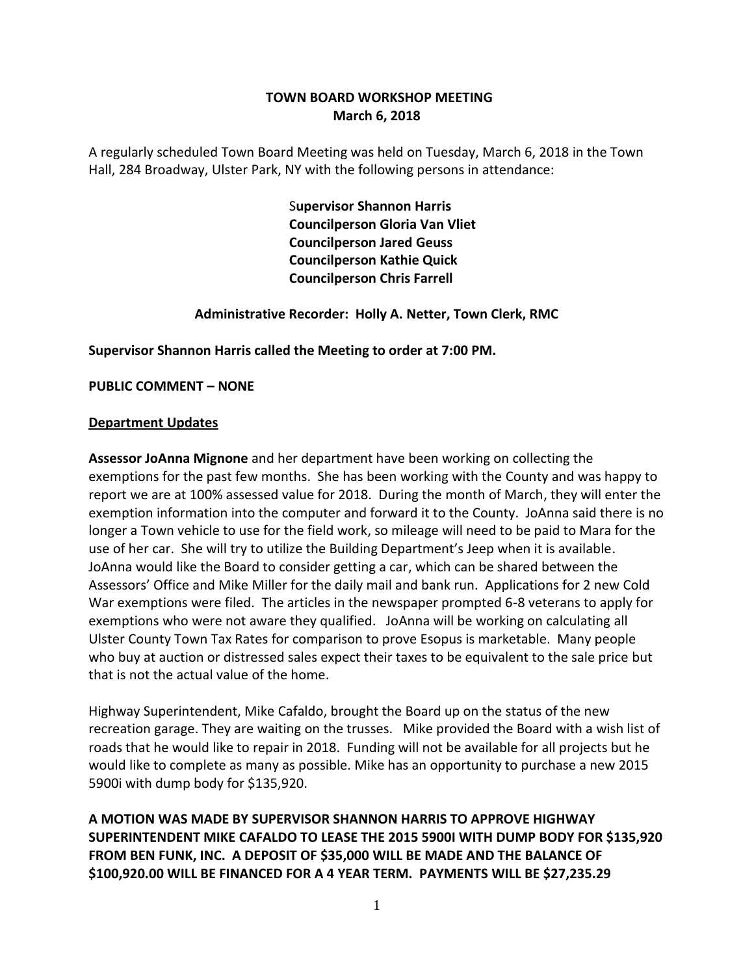### **TOWN BOARD WORKSHOP MEETING March 6, 2018**

A regularly scheduled Town Board Meeting was held on Tuesday, March 6, 2018 in the Town Hall, 284 Broadway, Ulster Park, NY with the following persons in attendance:

> S**upervisor Shannon Harris Councilperson Gloria Van Vliet Councilperson Jared Geuss Councilperson Kathie Quick Councilperson Chris Farrell**

### **Administrative Recorder: Holly A. Netter, Town Clerk, RMC**

**Supervisor Shannon Harris called the Meeting to order at 7:00 PM.** 

**PUBLIC COMMENT – NONE**

#### **Department Updates**

**Assessor JoAnna Mignone** and her department have been working on collecting the exemptions for the past few months. She has been working with the County and was happy to report we are at 100% assessed value for 2018. During the month of March, they will enter the exemption information into the computer and forward it to the County. JoAnna said there is no longer a Town vehicle to use for the field work, so mileage will need to be paid to Mara for the use of her car. She will try to utilize the Building Department's Jeep when it is available. JoAnna would like the Board to consider getting a car, which can be shared between the Assessors' Office and Mike Miller for the daily mail and bank run. Applications for 2 new Cold War exemptions were filed. The articles in the newspaper prompted 6-8 veterans to apply for exemptions who were not aware they qualified. JoAnna will be working on calculating all Ulster County Town Tax Rates for comparison to prove Esopus is marketable. Many people who buy at auction or distressed sales expect their taxes to be equivalent to the sale price but that is not the actual value of the home.

Highway Superintendent, Mike Cafaldo, brought the Board up on the status of the new recreation garage. They are waiting on the trusses. Mike provided the Board with a wish list of roads that he would like to repair in 2018. Funding will not be available for all projects but he would like to complete as many as possible. Mike has an opportunity to purchase a new 2015 5900i with dump body for \$135,920.

**A MOTION WAS MADE BY SUPERVISOR SHANNON HARRIS TO APPROVE HIGHWAY SUPERINTENDENT MIKE CAFALDO TO LEASE THE 2015 5900I WITH DUMP BODY FOR \$135,920 FROM BEN FUNK, INC. A DEPOSIT OF \$35,000 WILL BE MADE AND THE BALANCE OF \$100,920.00 WILL BE FINANCED FOR A 4 YEAR TERM. PAYMENTS WILL BE \$27,235.29**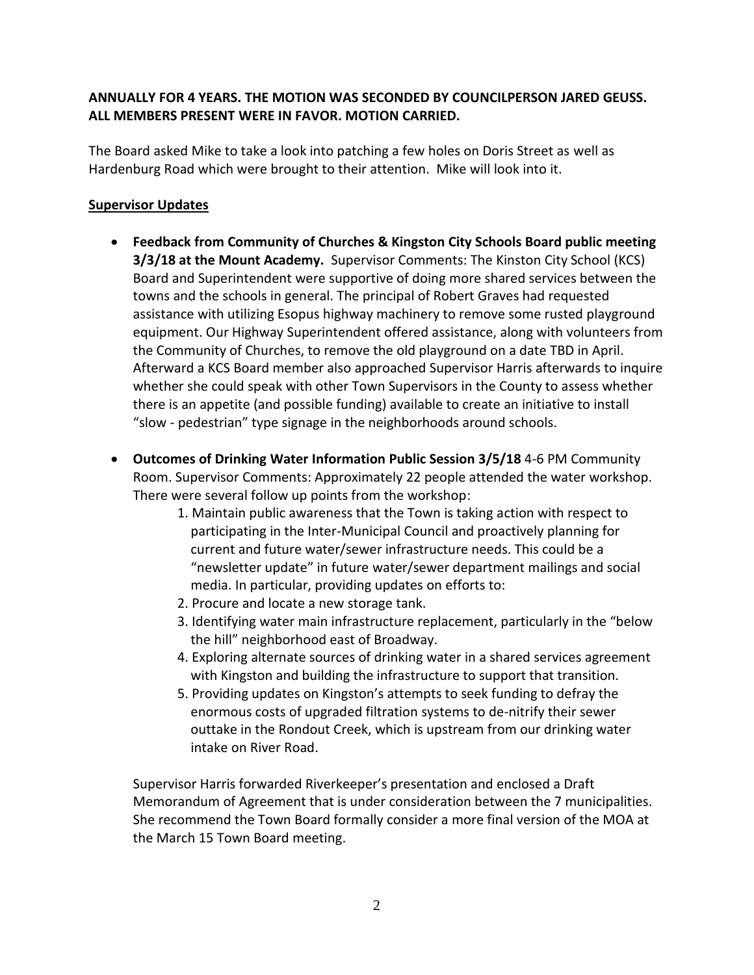## **ANNUALLY FOR 4 YEARS. THE MOTION WAS SECONDED BY COUNCILPERSON JARED GEUSS. ALL MEMBERS PRESENT WERE IN FAVOR. MOTION CARRIED.**

The Board asked Mike to take a look into patching a few holes on Doris Street as well as Hardenburg Road which were brought to their attention. Mike will look into it.

## **Supervisor Updates**

- **Feedback from Community of Churches & Kingston City Schools Board public meeting 3/3/18 at the Mount Academy.** Supervisor Comments: The Kinston City School (KCS) Board and Superintendent were supportive of doing more shared services between the towns and the schools in general. The principal of Robert Graves had requested assistance with utilizing Esopus highway machinery to remove some rusted playground equipment. Our Highway Superintendent offered assistance, along with volunteers from the Community of Churches, to remove the old playground on a date TBD in April. Afterward a KCS Board member also approached Supervisor Harris afterwards to inquire whether she could speak with other Town Supervisors in the County to assess whether there is an appetite (and possible funding) available to create an initiative to install "slow - pedestrian" type signage in the neighborhoods around schools.
- **Outcomes of Drinking Water Information Public Session 3/5/18** 4-6 PM Community Room. Supervisor Comments: Approximately 22 people attended the water workshop. There were several follow up points from the workshop:
	- 1. Maintain public awareness that the Town is taking action with respect to participating in the Inter-Municipal Council and proactively planning for current and future water/sewer infrastructure needs. This could be a "newsletter update" in future water/sewer department mailings and social media. In particular, providing updates on efforts to:
	- 2. Procure and locate a new storage tank.
	- 3. Identifying water main infrastructure replacement, particularly in the "below the hill" neighborhood east of Broadway.
	- 4. Exploring alternate sources of drinking water in a shared services agreement with Kingston and building the infrastructure to support that transition.
	- 5. Providing updates on Kingston's attempts to seek funding to defray the enormous costs of upgraded filtration systems to de-nitrify their sewer outtake in the Rondout Creek, which is upstream from our drinking water intake on River Road.

Supervisor Harris forwarded Riverkeeper's presentation and enclosed a Draft Memorandum of Agreement that is under consideration between the 7 municipalities. She recommend the Town Board formally consider a more final version of the MOA at the March 15 Town Board meeting.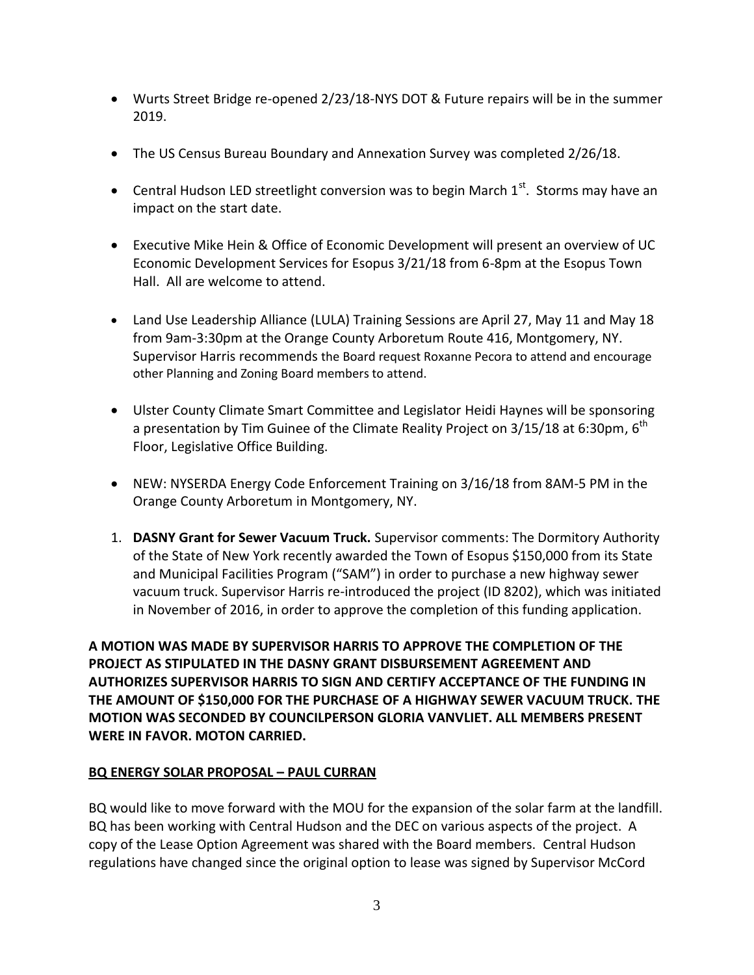- Wurts Street Bridge re-opened 2/23/18-NYS DOT & Future repairs will be in the summer 2019.
- The US Census Bureau Boundary and Annexation Survey was completed 2/26/18.
- Central Hudson LED streetlight conversion was to begin March  $1<sup>st</sup>$ . Storms may have an impact on the start date.
- Executive Mike Hein & Office of Economic Development will present an overview of UC Economic Development Services for Esopus 3/21/18 from 6-8pm at the Esopus Town Hall. All are welcome to attend.
- Land Use Leadership Alliance (LULA) Training Sessions are April 27, May 11 and May 18 from 9am-3:30pm at the Orange County Arboretum Route 416, Montgomery, NY. Supervisor Harris recommends the Board request Roxanne Pecora to attend and encourage other Planning and Zoning Board members to attend.
- Ulster County Climate Smart Committee and Legislator Heidi Haynes will be sponsoring a presentation by Tim Guinee of the Climate Reality Project on 3/15/18 at 6:30pm,  $6^{\rm th}$ Floor, Legislative Office Building.
- NEW: NYSERDA Energy Code Enforcement Training on 3/16/18 from 8AM-5 PM in the Orange County Arboretum in Montgomery, NY.
- 1. **DASNY Grant for Sewer Vacuum Truck.** Supervisor comments: The Dormitory Authority of the State of New York recently awarded the Town of Esopus \$150,000 from its State and Municipal Facilities Program ("SAM") in order to purchase a new highway sewer vacuum truck. Supervisor Harris re-introduced the project (ID 8202), which was initiated in November of 2016, in order to approve the completion of this funding application.

**A MOTION WAS MADE BY SUPERVISOR HARRIS TO APPROVE THE COMPLETION OF THE PROJECT AS STIPULATED IN THE DASNY GRANT DISBURSEMENT AGREEMENT AND AUTHORIZES SUPERVISOR HARRIS TO SIGN AND CERTIFY ACCEPTANCE OF THE FUNDING IN THE AMOUNT OF \$150,000 FOR THE PURCHASE OF A HIGHWAY SEWER VACUUM TRUCK. THE MOTION WAS SECONDED BY COUNCILPERSON GLORIA VANVLIET. ALL MEMBERS PRESENT WERE IN FAVOR. MOTON CARRIED.** 

## **BQ ENERGY SOLAR PROPOSAL – PAUL CURRAN**

BQ would like to move forward with the MOU for the expansion of the solar farm at the landfill. BQ has been working with Central Hudson and the DEC on various aspects of the project. A copy of the Lease Option Agreement was shared with the Board members. Central Hudson regulations have changed since the original option to lease was signed by Supervisor McCord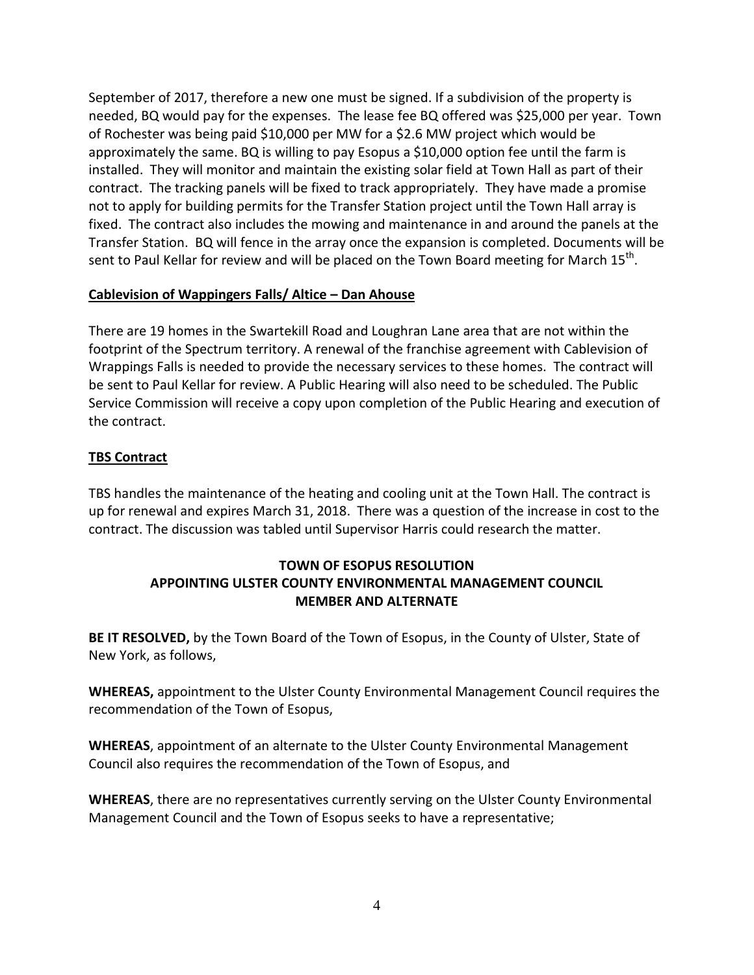September of 2017, therefore a new one must be signed. If a subdivision of the property is needed, BQ would pay for the expenses. The lease fee BQ offered was \$25,000 per year. Town of Rochester was being paid \$10,000 per MW for a \$2.6 MW project which would be approximately the same. BQ is willing to pay Esopus a \$10,000 option fee until the farm is installed. They will monitor and maintain the existing solar field at Town Hall as part of their contract. The tracking panels will be fixed to track appropriately. They have made a promise not to apply for building permits for the Transfer Station project until the Town Hall array is fixed. The contract also includes the mowing and maintenance in and around the panels at the Transfer Station. BQ will fence in the array once the expansion is completed. Documents will be sent to Paul Kellar for review and will be placed on the Town Board meeting for March 15<sup>th</sup>.

### **Cablevision of Wappingers Falls/ Altice – Dan Ahouse**

There are 19 homes in the Swartekill Road and Loughran Lane area that are not within the footprint of the Spectrum territory. A renewal of the franchise agreement with Cablevision of Wrappings Falls is needed to provide the necessary services to these homes. The contract will be sent to Paul Kellar for review. A Public Hearing will also need to be scheduled. The Public Service Commission will receive a copy upon completion of the Public Hearing and execution of the contract.

## **TBS Contract**

TBS handles the maintenance of the heating and cooling unit at the Town Hall. The contract is up for renewal and expires March 31, 2018. There was a question of the increase in cost to the contract. The discussion was tabled until Supervisor Harris could research the matter.

# **TOWN OF ESOPUS RESOLUTION APPOINTING ULSTER COUNTY ENVIRONMENTAL MANAGEMENT COUNCIL MEMBER AND ALTERNATE**

**BE IT RESOLVED,** by the Town Board of the Town of Esopus, in the County of Ulster, State of New York, as follows,

**WHEREAS,** appointment to the Ulster County Environmental Management Council requires the recommendation of the Town of Esopus,

**WHEREAS**, appointment of an alternate to the Ulster County Environmental Management Council also requires the recommendation of the Town of Esopus, and

**WHEREAS**, there are no representatives currently serving on the Ulster County Environmental Management Council and the Town of Esopus seeks to have a representative;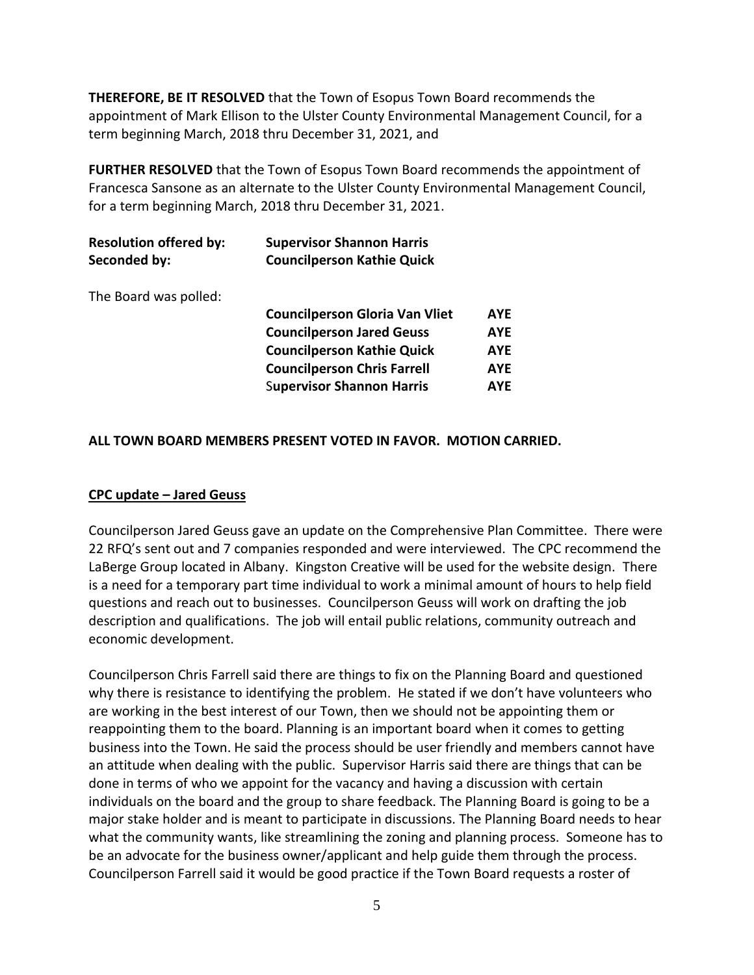**THEREFORE, BE IT RESOLVED** that the Town of Esopus Town Board recommends the appointment of Mark Ellison to the Ulster County Environmental Management Council, for a term beginning March, 2018 thru December 31, 2021, and

**FURTHER RESOLVED** that the Town of Esopus Town Board recommends the appointment of Francesca Sansone as an alternate to the Ulster County Environmental Management Council, for a term beginning March, 2018 thru December 31, 2021.

| <b>Resolution offered by:</b> | <b>Supervisor Shannon Harris</b>  |
|-------------------------------|-----------------------------------|
| Seconded by:                  | <b>Councilperson Kathie Quick</b> |

The Board was polled:

| <b>Councilperson Gloria Van Vliet</b> | <b>AYF</b> |
|---------------------------------------|------------|
| <b>Councilperson Jared Geuss</b>      | <b>AYE</b> |
| <b>Councilperson Kathie Quick</b>     | <b>AYE</b> |
| <b>Councilperson Chris Farrell</b>    | <b>AYE</b> |
| <b>Supervisor Shannon Harris</b>      | <b>AYF</b> |

### **ALL TOWN BOARD MEMBERS PRESENT VOTED IN FAVOR. MOTION CARRIED.**

#### **CPC update – Jared Geuss**

Councilperson Jared Geuss gave an update on the Comprehensive Plan Committee. There were 22 RFQ's sent out and 7 companies responded and were interviewed. The CPC recommend the LaBerge Group located in Albany. Kingston Creative will be used for the website design. There is a need for a temporary part time individual to work a minimal amount of hours to help field questions and reach out to businesses. Councilperson Geuss will work on drafting the job description and qualifications. The job will entail public relations, community outreach and economic development.

Councilperson Chris Farrell said there are things to fix on the Planning Board and questioned why there is resistance to identifying the problem. He stated if we don't have volunteers who are working in the best interest of our Town, then we should not be appointing them or reappointing them to the board. Planning is an important board when it comes to getting business into the Town. He said the process should be user friendly and members cannot have an attitude when dealing with the public. Supervisor Harris said there are things that can be done in terms of who we appoint for the vacancy and having a discussion with certain individuals on the board and the group to share feedback. The Planning Board is going to be a major stake holder and is meant to participate in discussions. The Planning Board needs to hear what the community wants, like streamlining the zoning and planning process. Someone has to be an advocate for the business owner/applicant and help guide them through the process. Councilperson Farrell said it would be good practice if the Town Board requests a roster of